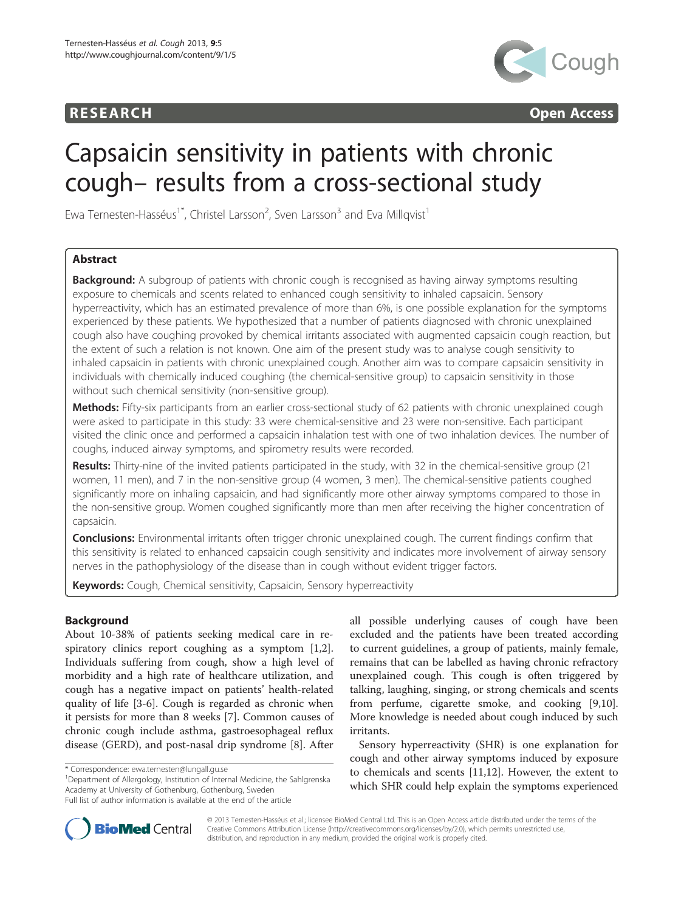# **RESEARCH CHINESEARCH CHINESEARCH CHINESE**



# Capsaicin sensitivity in patients with chronic cough– results from a cross-sectional study

Ewa Ternesten-Hasséus<sup>1\*</sup>, Christel Larsson<sup>2</sup>, Sven Larsson<sup>3</sup> and Eva Millqvist<sup>1</sup>

# Abstract

**Background:** A subgroup of patients with chronic cough is recognised as having airway symptoms resulting exposure to chemicals and scents related to enhanced cough sensitivity to inhaled capsaicin. Sensory hyperreactivity, which has an estimated prevalence of more than 6%, is one possible explanation for the symptoms experienced by these patients. We hypothesized that a number of patients diagnosed with chronic unexplained cough also have coughing provoked by chemical irritants associated with augmented capsaicin cough reaction, but the extent of such a relation is not known. One aim of the present study was to analyse cough sensitivity to inhaled capsaicin in patients with chronic unexplained cough. Another aim was to compare capsaicin sensitivity in individuals with chemically induced coughing (the chemical-sensitive group) to capsaicin sensitivity in those without such chemical sensitivity (non-sensitive group).

Methods: Fifty-six participants from an earlier cross-sectional study of 62 patients with chronic unexplained cough were asked to participate in this study: 33 were chemical-sensitive and 23 were non-sensitive. Each participant visited the clinic once and performed a capsaicin inhalation test with one of two inhalation devices. The number of coughs, induced airway symptoms, and spirometry results were recorded.

Results: Thirty-nine of the invited patients participated in the study, with 32 in the chemical-sensitive group (21 women, 11 men), and 7 in the non-sensitive group (4 women, 3 men). The chemical-sensitive patients coughed significantly more on inhaling capsaicin, and had significantly more other airway symptoms compared to those in the non-sensitive group. Women coughed significantly more than men after receiving the higher concentration of capsaicin.

**Conclusions:** Environmental irritants often trigger chronic unexplained cough. The current findings confirm that this sensitivity is related to enhanced capsaicin cough sensitivity and indicates more involvement of airway sensory nerves in the pathophysiology of the disease than in cough without evident trigger factors.

**Keywords:** Cough, Chemical sensitivity, Capsaicin, Sensory hyperreactivity

# Background

About 10-38% of patients seeking medical care in respiratory clinics report coughing as a symptom [\[1,2](#page-4-0)]. Individuals suffering from cough, show a high level of morbidity and a high rate of healthcare utilization, and cough has a negative impact on patients' health-related quality of life [\[3-6](#page-4-0)]. Cough is regarded as chronic when it persists for more than 8 weeks [\[7](#page-4-0)]. Common causes of chronic cough include asthma, gastroesophageal reflux disease (GERD), and post-nasal drip syndrome [[8\]](#page-4-0). After

<sup>1</sup>Department of Allergology, Institution of Internal Medicine, the Sahlgrenska Academy at University of Gothenburg, Gothenburg, Sweden Full list of author information is available at the end of the article

all possible underlying causes of cough have been excluded and the patients have been treated according to current guidelines, a group of patients, mainly female, remains that can be labelled as having chronic refractory unexplained cough. This cough is often triggered by talking, laughing, singing, or strong chemicals and scents from perfume, cigarette smoke, and cooking [\[9,10](#page-4-0)]. More knowledge is needed about cough induced by such irritants.

Sensory hyperreactivity (SHR) is one explanation for cough and other airway symptoms induced by exposure to chemicals and scents [[11](#page-4-0),[12](#page-4-0)]. However, the extent to which SHR could help explain the symptoms experienced



© 2013 Ternesten-Hasséus et al.; licensee BioMed Central Ltd. This is an Open Access article distributed under the terms of the Creative Commons Attribution License (<http://creativecommons.org/licenses/by/2.0>), which permits unrestricted use, distribution, and reproduction in any medium, provided the original work is properly cited.

<sup>\*</sup> Correspondence: [ewa.ternesten@lungall.gu.se](mailto:ewa.ternesten@lungall.gu.se) <sup>1</sup>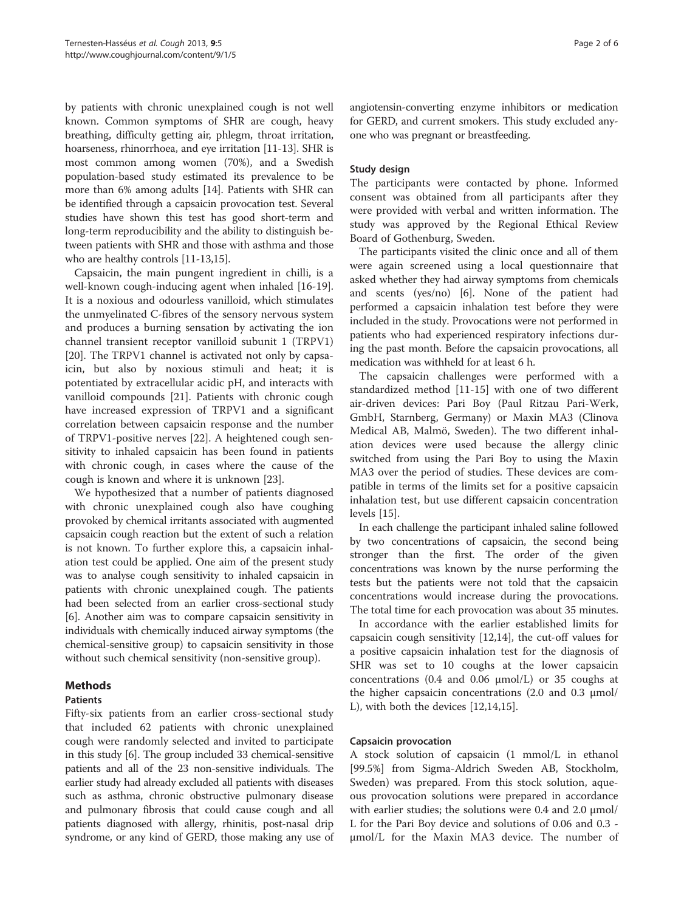by patients with chronic unexplained cough is not well known. Common symptoms of SHR are cough, heavy breathing, difficulty getting air, phlegm, throat irritation, hoarseness, rhinorrhoea, and eye irritation [\[11](#page-4-0)-[13](#page-4-0)]. SHR is most common among women (70%), and a Swedish population-based study estimated its prevalence to be more than 6% among adults [[14](#page-4-0)]. Patients with SHR can be identified through a capsaicin provocation test. Several studies have shown this test has good short-term and long-term reproducibility and the ability to distinguish between patients with SHR and those with asthma and those who are healthy controls [\[11-13,15](#page-4-0)].

Capsaicin, the main pungent ingredient in chilli, is a well-known cough-inducing agent when inhaled [\[16-19](#page-4-0)]. It is a noxious and odourless vanilloid, which stimulates the unmyelinated C-fibres of the sensory nervous system and produces a burning sensation by activating the ion channel transient receptor vanilloid subunit 1 (TRPV1) [[20\]](#page-4-0). The TRPV1 channel is activated not only by capsaicin, but also by noxious stimuli and heat; it is potentiated by extracellular acidic pH, and interacts with vanilloid compounds [\[21](#page-4-0)]. Patients with chronic cough have increased expression of TRPV1 and a significant correlation between capsaicin response and the number of TRPV1-positive nerves [[22\]](#page-4-0). A heightened cough sensitivity to inhaled capsaicin has been found in patients with chronic cough, in cases where the cause of the cough is known and where it is unknown [\[23](#page-4-0)].

We hypothesized that a number of patients diagnosed with chronic unexplained cough also have coughing provoked by chemical irritants associated with augmented capsaicin cough reaction but the extent of such a relation is not known. To further explore this, a capsaicin inhalation test could be applied. One aim of the present study was to analyse cough sensitivity to inhaled capsaicin in patients with chronic unexplained cough. The patients had been selected from an earlier cross-sectional study [[6\]](#page-4-0). Another aim was to compare capsaicin sensitivity in individuals with chemically induced airway symptoms (the chemical-sensitive group) to capsaicin sensitivity in those without such chemical sensitivity (non-sensitive group).

# Methods

# Patients

Fifty-six patients from an earlier cross-sectional study that included 62 patients with chronic unexplained cough were randomly selected and invited to participate in this study [\[6\]](#page-4-0). The group included 33 chemical-sensitive patients and all of the 23 non-sensitive individuals. The earlier study had already excluded all patients with diseases such as asthma, chronic obstructive pulmonary disease and pulmonary fibrosis that could cause cough and all patients diagnosed with allergy, rhinitis, post-nasal drip syndrome, or any kind of GERD, those making any use of angiotensin-converting enzyme inhibitors or medication for GERD, and current smokers. This study excluded anyone who was pregnant or breastfeeding.

# Study design

The participants were contacted by phone. Informed consent was obtained from all participants after they were provided with verbal and written information. The study was approved by the Regional Ethical Review Board of Gothenburg, Sweden.

The participants visited the clinic once and all of them were again screened using a local questionnaire that asked whether they had airway symptoms from chemicals and scents (yes/no) [[6](#page-4-0)]. None of the patient had performed a capsaicin inhalation test before they were included in the study. Provocations were not performed in patients who had experienced respiratory infections during the past month. Before the capsaicin provocations, all medication was withheld for at least 6 h.

The capsaicin challenges were performed with a standardized method [[11-15\]](#page-4-0) with one of two different air-driven devices: Pari Boy (Paul Ritzau Pari-Werk, GmbH, Starnberg, Germany) or Maxin MA3 (Clinova Medical AB, Malmö, Sweden). The two different inhalation devices were used because the allergy clinic switched from using the Pari Boy to using the Maxin MA3 over the period of studies. These devices are compatible in terms of the limits set for a positive capsaicin inhalation test, but use different capsaicin concentration levels [\[15\]](#page-4-0).

In each challenge the participant inhaled saline followed by two concentrations of capsaicin, the second being stronger than the first. The order of the given concentrations was known by the nurse performing the tests but the patients were not told that the capsaicin concentrations would increase during the provocations. The total time for each provocation was about 35 minutes.

In accordance with the earlier established limits for capsaicin cough sensitivity [[12](#page-4-0),[14](#page-4-0)], the cut-off values for a positive capsaicin inhalation test for the diagnosis of SHR was set to 10 coughs at the lower capsaicin concentrations (0.4 and 0.06 μmol/L) or 35 coughs at the higher capsaicin concentrations (2.0 and 0.3 μmol/ L), with both the devices [\[12,14,15\]](#page-4-0).

# Capsaicin provocation

A stock solution of capsaicin (1 mmol/L in ethanol [99.5%] from Sigma-Aldrich Sweden AB, Stockholm, Sweden) was prepared. From this stock solution, aqueous provocation solutions were prepared in accordance with earlier studies; the solutions were 0.4 and 2.0  $\mu$ mol/ L for the Pari Boy device and solutions of 0.06 and 0.3 μmol/L for the Maxin MA3 device. The number of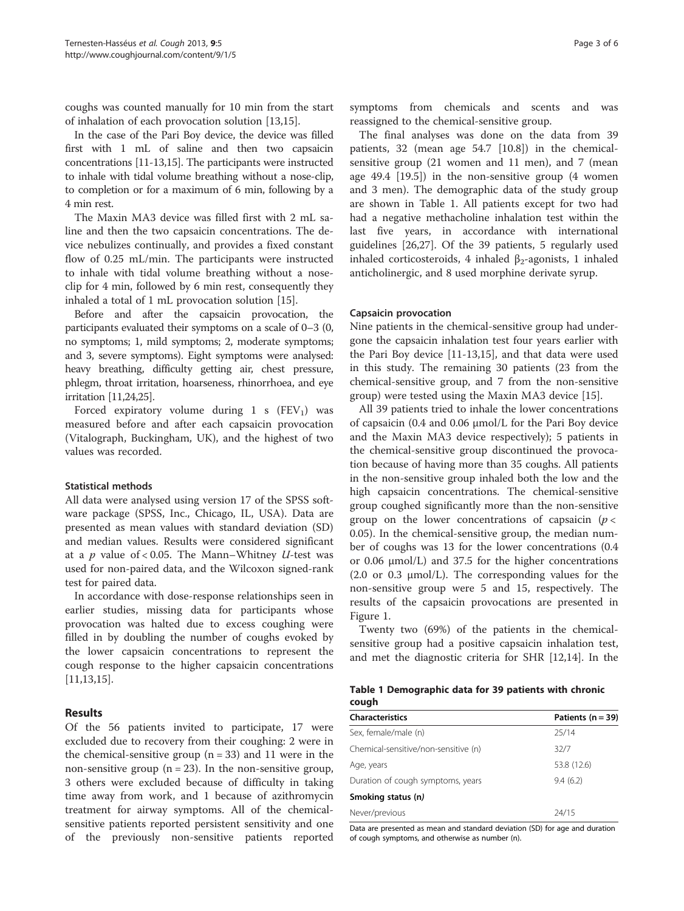coughs was counted manually for 10 min from the start of inhalation of each provocation solution [[13](#page-4-0),[15](#page-4-0)].

In the case of the Pari Boy device, the device was filled first with 1 mL of saline and then two capsaicin concentrations [[11](#page-4-0)-[13,15\]](#page-4-0). The participants were instructed to inhale with tidal volume breathing without a nose-clip, to completion or for a maximum of 6 min, following by a 4 min rest.

The Maxin MA3 device was filled first with 2 mL saline and then the two capsaicin concentrations. The device nebulizes continually, and provides a fixed constant flow of 0.25 mL/min. The participants were instructed to inhale with tidal volume breathing without a noseclip for 4 min, followed by 6 min rest, consequently they inhaled a total of 1 mL provocation solution [\[15](#page-4-0)].

Before and after the capsaicin provocation, the participants evaluated their symptoms on a scale of 0–3 (0, no symptoms; 1, mild symptoms; 2, moderate symptoms; and 3, severe symptoms). Eight symptoms were analysed: heavy breathing, difficulty getting air, chest pressure, phlegm, throat irritation, hoarseness, rhinorrhoea, and eye irritation [\[11,24,25\]](#page-4-0).

Forced expiratory volume during 1 s  $(FEV_1)$  was measured before and after each capsaicin provocation (Vitalograph, Buckingham, UK), and the highest of two values was recorded.

### Statistical methods

All data were analysed using version 17 of the SPSS software package (SPSS, Inc., Chicago, IL, USA). Data are presented as mean values with standard deviation (SD) and median values. Results were considered significant at a  $p$  value of < 0.05. The Mann–Whitney  $U$ -test was used for non-paired data, and the Wilcoxon signed-rank test for paired data.

In accordance with dose-response relationships seen in earlier studies, missing data for participants whose provocation was halted due to excess coughing were filled in by doubling the number of coughs evoked by the lower capsaicin concentrations to represent the cough response to the higher capsaicin concentrations [[11,13,15\]](#page-4-0).

# Results

Of the 56 patients invited to participate, 17 were excluded due to recovery from their coughing: 2 were in the chemical-sensitive group  $(n = 33)$  and 11 were in the non-sensitive group ( $n = 23$ ). In the non-sensitive group, 3 others were excluded because of difficulty in taking time away from work, and 1 because of azithromycin treatment for airway symptoms. All of the chemicalsensitive patients reported persistent sensitivity and one of the previously non-sensitive patients reported

symptoms from chemicals and scents and was reassigned to the chemical-sensitive group.

The final analyses was done on the data from 39 patients, 32 (mean age 54.7 [10.8]) in the chemicalsensitive group (21 women and 11 men), and 7 (mean age 49.4 [19.5]) in the non-sensitive group (4 women and 3 men). The demographic data of the study group are shown in Table 1. All patients except for two had had a negative methacholine inhalation test within the last five years, in accordance with international guidelines [\[26,27\]](#page-5-0). Of the 39 patients, 5 regularly used inhaled corticosteroids, 4 inhaled  $\beta_2$ -agonists, 1 inhaled anticholinergic, and 8 used morphine derivate syrup.

#### Capsaicin provocation

Nine patients in the chemical-sensitive group had undergone the capsaicin inhalation test four years earlier with the Pari Boy device [[11-13,15](#page-4-0)], and that data were used in this study. The remaining 30 patients (23 from the chemical-sensitive group, and 7 from the non-sensitive group) were tested using the Maxin MA3 device [[15\]](#page-4-0).

All 39 patients tried to inhale the lower concentrations of capsaicin (0.4 and 0.06 μmol/L for the Pari Boy device and the Maxin MA3 device respectively); 5 patients in the chemical-sensitive group discontinued the provocation because of having more than 35 coughs. All patients in the non-sensitive group inhaled both the low and the high capsaicin concentrations. The chemical-sensitive group coughed significantly more than the non-sensitive group on the lower concentrations of capsaicin ( $p <$ 0.05). In the chemical-sensitive group, the median number of coughs was 13 for the lower concentrations (0.4 or 0.06 μmol/L) and 37.5 for the higher concentrations (2.0 or 0.3 μmol/L). The corresponding values for the non-sensitive group were 5 and 15, respectively. The results of the capsaicin provocations are presented in Figure [1](#page-3-0).

Twenty two (69%) of the patients in the chemicalsensitive group had a positive capsaicin inhalation test, and met the diagnostic criteria for SHR [\[12,14](#page-4-0)]. In the

|       | Table 1 Demographic data for 39 patients with chronic |  |  |  |
|-------|-------------------------------------------------------|--|--|--|
| cough |                                                       |  |  |  |

| <b>Characteristics</b>               | Patients ( $n = 39$ ) |
|--------------------------------------|-----------------------|
| Sex, female/male (n)                 | 25/14                 |
| Chemical-sensitive/non-sensitive (n) | 32/7                  |
| Age, years                           | 53.8 (12.6)           |
| Duration of cough symptoms, years    | 9.4(6.2)              |
| Smoking status (n)                   |                       |
| Never/previous                       | 24/15                 |

Data are presented as mean and standard deviation (SD) for age and duration of cough symptoms, and otherwise as number (n).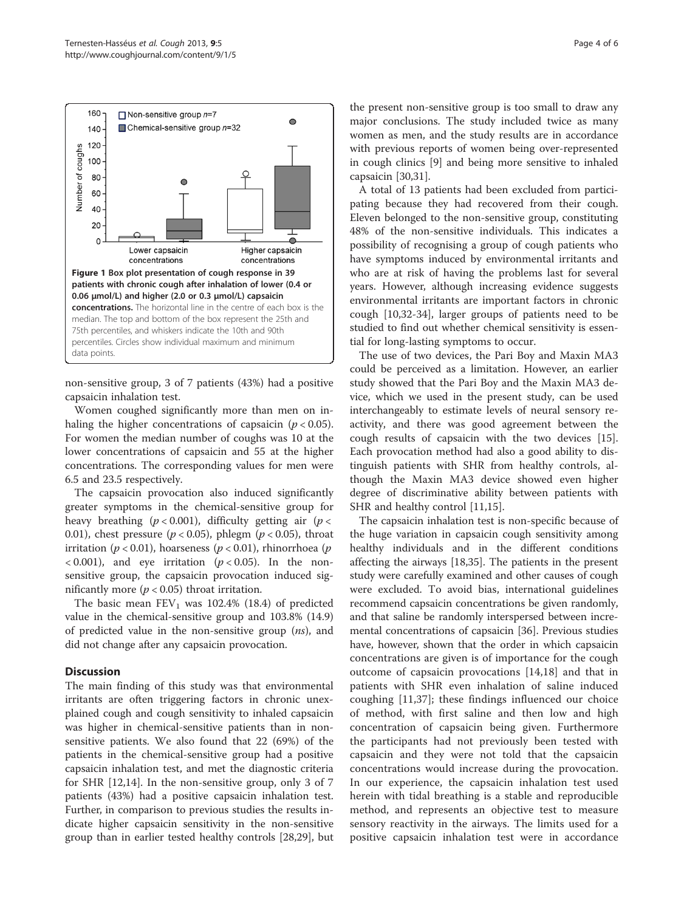<span id="page-3-0"></span>

non-sensitive group, 3 of 7 patients (43%) had a positive capsaicin inhalation test.

Women coughed significantly more than men on inhaling the higher concentrations of capsaicin ( $p < 0.05$ ). For women the median number of coughs was 10 at the lower concentrations of capsaicin and 55 at the higher concentrations. The corresponding values for men were 6.5 and 23.5 respectively.

The capsaicin provocation also induced significantly greater symptoms in the chemical-sensitive group for heavy breathing ( $p < 0.001$ ), difficulty getting air ( $p <$ 0.01), chest pressure ( $p < 0.05$ ), phlegm ( $p < 0.05$ ), throat irritation ( $p < 0.01$ ), hoarseness ( $p < 0.01$ ), rhinorrhoea ( $p$  $(0.001)$ , and eye irritation ( $p < 0.05$ ). In the nonsensitive group, the capsaicin provocation induced significantly more ( $p < 0.05$ ) throat irritation.

The basic mean  $FEV_1$  was 102.4% (18.4) of predicted value in the chemical-sensitive group and 103.8% (14.9) of predicted value in the non-sensitive group  $(ns)$ , and did not change after any capsaicin provocation.

# **Discussion**

The main finding of this study was that environmental irritants are often triggering factors in chronic unexplained cough and cough sensitivity to inhaled capsaicin was higher in chemical-sensitive patients than in nonsensitive patients. We also found that 22 (69%) of the patients in the chemical-sensitive group had a positive capsaicin inhalation test, and met the diagnostic criteria for SHR [\[12,14](#page-4-0)]. In the non-sensitive group, only 3 of 7 patients (43%) had a positive capsaicin inhalation test. Further, in comparison to previous studies the results indicate higher capsaicin sensitivity in the non-sensitive group than in earlier tested healthy controls [\[28,29](#page-5-0)], but

the present non-sensitive group is too small to draw any major conclusions. The study included twice as many women as men, and the study results are in accordance with previous reports of women being over-represented in cough clinics [\[9](#page-4-0)] and being more sensitive to inhaled capsaicin [[30,31\]](#page-5-0).

A total of 13 patients had been excluded from participating because they had recovered from their cough. Eleven belonged to the non-sensitive group, constituting 48% of the non-sensitive individuals. This indicates a possibility of recognising a group of cough patients who have symptoms induced by environmental irritants and who are at risk of having the problems last for several years. However, although increasing evidence suggests environmental irritants are important factors in chronic cough [\[10](#page-4-0)[,32](#page-5-0)-[34\]](#page-5-0), larger groups of patients need to be studied to find out whether chemical sensitivity is essential for long-lasting symptoms to occur.

The use of two devices, the Pari Boy and Maxin MA3 could be perceived as a limitation. However, an earlier study showed that the Pari Boy and the Maxin MA3 device, which we used in the present study, can be used interchangeably to estimate levels of neural sensory reactivity, and there was good agreement between the cough results of capsaicin with the two devices [\[15](#page-4-0)]. Each provocation method had also a good ability to distinguish patients with SHR from healthy controls, although the Maxin MA3 device showed even higher degree of discriminative ability between patients with SHR and healthy control [\[11,15](#page-4-0)].

The capsaicin inhalation test is non-specific because of the huge variation in capsaicin cough sensitivity among healthy individuals and in the different conditions affecting the airways [[18](#page-4-0),[35](#page-5-0)]. The patients in the present study were carefully examined and other causes of cough were excluded. To avoid bias, international guidelines recommend capsaicin concentrations be given randomly, and that saline be randomly interspersed between incremental concentrations of capsaicin [[36\]](#page-5-0). Previous studies have, however, shown that the order in which capsaicin concentrations are given is of importance for the cough outcome of capsaicin provocations [[14,18\]](#page-4-0) and that in patients with SHR even inhalation of saline induced coughing [\[11](#page-4-0),[37\]](#page-5-0); these findings influenced our choice of method, with first saline and then low and high concentration of capsaicin being given. Furthermore the participants had not previously been tested with capsaicin and they were not told that the capsaicin concentrations would increase during the provocation. In our experience, the capsaicin inhalation test used herein with tidal breathing is a stable and reproducible method, and represents an objective test to measure sensory reactivity in the airways. The limits used for a positive capsaicin inhalation test were in accordance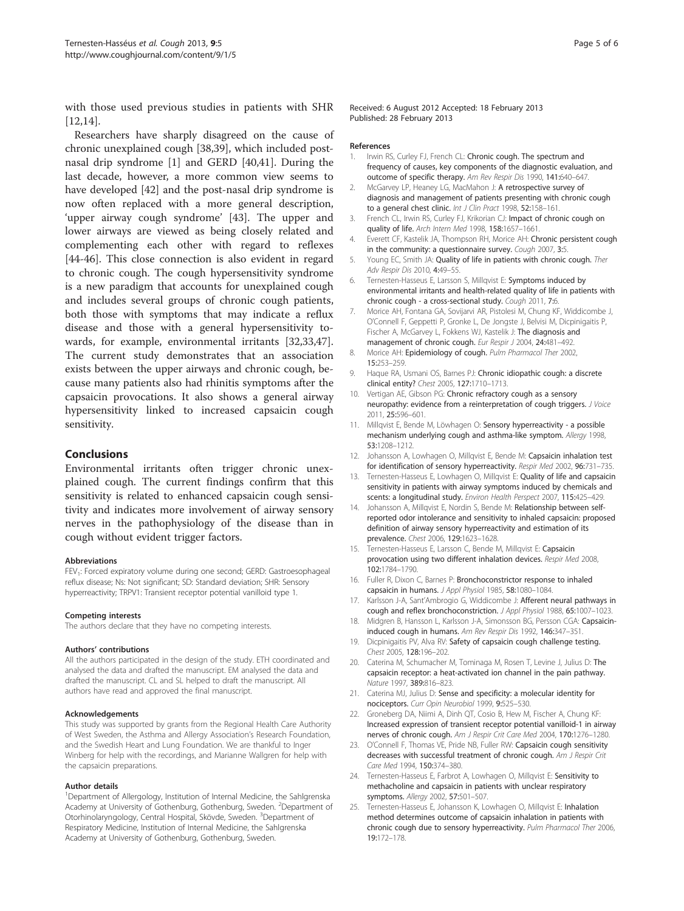<span id="page-4-0"></span>with those used previous studies in patients with SHR [12,14].

Researchers have sharply disagreed on the cause of chronic unexplained cough [\[38,39](#page-5-0)], which included postnasal drip syndrome [1] and GERD [[40,41\]](#page-5-0). During the last decade, however, a more common view seems to have developed [[42\]](#page-5-0) and the post-nasal drip syndrome is now often replaced with a more general description, 'upper airway cough syndrome' [[43](#page-5-0)]. The upper and lower airways are viewed as being closely related and complementing each other with regard to reflexes [[44-46](#page-5-0)]. This close connection is also evident in regard to chronic cough. The cough hypersensitivity syndrome is a new paradigm that accounts for unexplained cough and includes several groups of chronic cough patients, both those with symptoms that may indicate a reflux disease and those with a general hypersensitivity towards, for example, environmental irritants [\[32,33,47](#page-5-0)]. The current study demonstrates that an association exists between the upper airways and chronic cough, because many patients also had rhinitis symptoms after the capsaicin provocations. It also shows a general airway hypersensitivity linked to increased capsaicin cough sensitivity.

# **Conclusions**

Environmental irritants often trigger chronic unexplained cough. The current findings confirm that this sensitivity is related to enhanced capsaicin cough sensitivity and indicates more involvement of airway sensory nerves in the pathophysiology of the disease than in cough without evident trigger factors.

#### Abbreviations

FEV<sub>1</sub>: Forced expiratory volume during one second; GERD: Gastroesophageal reflux disease; Ns: Not significant; SD: Standard deviation; SHR: Sensory hyperreactivity; TRPV1: Transient receptor potential vanilloid type 1.

#### Competing interests

The authors declare that they have no competing interests.

#### Authors' contributions

All the authors participated in the design of the study. ETH coordinated and analysed the data and drafted the manuscript. EM analysed the data and drafted the manuscript. CL and SL helped to draft the manuscript. All authors have read and approved the final manuscript.

#### Acknowledgements

This study was supported by grants from the Regional Health Care Authority of West Sweden, the Asthma and Allergy Association's Research Foundation, and the Swedish Heart and Lung Foundation. We are thankful to Inger Winberg for help with the recordings, and Marianne Wallgren for help with the capsaicin preparations.

#### Author details

<sup>1</sup>Department of Allergology, Institution of Internal Medicine, the Sahlgrenska Academy at University of Gothenburg, Gothenburg, Sweden. <sup>2</sup>Department of Otorhinolaryngology, Central Hospital, Skövde, Sweden. <sup>3</sup>Department of Respiratory Medicine, Institution of Internal Medicine, the Sahlgrenska Academy at University of Gothenburg, Gothenburg, Sweden.

Received: 6 August 2012 Accepted: 18 February 2013 Published: 28 February 2013

#### References

- Irwin RS, Curley FJ, French CL: Chronic cough. The spectrum and frequency of causes, key components of the diagnostic evaluation, and outcome of specific therapy. Am Rev Respir Dis 1990, 141:640–647.
- McGarvey LP, Heaney LG, MacMahon J: A retrospective survey of diagnosis and management of patients presenting with chronic cough to a general chest clinic. Int J Clin Pract 1998, 52:158-161.
- 3. French CL, Irwin RS, Curley FJ, Krikorian CJ: Impact of chronic cough on quality of life. Arch Intern Med 1998, 158:1657–1661.
- 4. Everett CF, Kastelik JA, Thompson RH, Morice AH: Chronic persistent cough in the community: a questionnaire survey. Cough 2007, 3:5.
- 5. Young EC, Smith JA: Quality of life in patients with chronic cough. Ther Adv Respir Dis 2010, 4:49–55.
- 6. Ternesten-Hasseus E, Larsson S, Millqvist E: Symptoms induced by environmental irritants and health-related quality of life in patients with chronic cough - a cross-sectional study. Cough 2011, 7:6.
- 7. Morice AH, Fontana GA, Sovijarvi AR, Pistolesi M, Chung KF, Widdicombe J, O'Connell F, Geppetti P, Gronke L, De Jongste J, Belvisi M, Dicpinigaitis P, Fischer A, McGarvey L, Fokkens WJ, Kastelik J: The diagnosis and management of chronic cough. Eur Respir J 2004, 24:481-492.
- 8. Morice AH: Epidemiology of cough. Pulm Pharmacol Ther 2002, 15:253–259.
- 9. Haque RA, Usmani OS, Barnes PJ: Chronic idiopathic cough: a discrete clinical entity? Chest 2005, 127:1710–1713.
- 10. Vertigan AE, Gibson PG: Chronic refractory cough as a sensory neuropathy: evidence from a reinterpretation of cough triggers. J Voice 2011, 25:596–601.
- 11. Millqvist E, Bende M, Löwhagen O: Sensory hyperreactivity a possible mechanism underlying cough and asthma-like symptom. Allergy 1998, 53:1208–1212.
- 12. Johansson A, Lowhagen O, Millgvist E, Bende M: Capsaicin inhalation test for identification of sensory hyperreactivity. Respir Med 2002, 96:731–735.
- 13. Ternesten-Hasseus E, Lowhagen O, Millqvist E: Quality of life and capsaicin sensitivity in patients with airway symptoms induced by chemicals and scents: a longitudinal study. Environ Health Perspect 2007, 115:425–429.
- 14. Johansson A, Millqvist E, Nordin S, Bende M: Relationship between selfreported odor intolerance and sensitivity to inhaled capsaicin: proposed definition of airway sensory hyperreactivity and estimation of its prevalence. Chest 2006, 129:1623–1628.
- 15. Ternesten-Hasseus E, Larsson C, Bende M, Millqvist E: Capsaicin provocation using two different inhalation devices. Respir Med 2008, 102:1784–1790.
- 16. Fuller R, Dixon C, Barnes P: Bronchoconstrictor response to inhaled capsaicin in humans. J Appl Physiol 1985, 58:1080–1084.
- 17. Karlsson J-A, Sant'Ambrogio G, Widdicombe J: Afferent neural pathways in cough and reflex bronchoconstriction. J Appl Physiol 1988, 65:1007–1023.
- 18. Midgren B, Hansson L, Karlsson J-A, Simonsson BG, Persson CGA: Capsaicininduced cough in humans. Am Rev Respir Dis 1992, 146:347–351.
- 19. Dicpinigaitis PV, Alva RV: Safety of capsaicin cough challenge testing. Chest 2005, 128:196–202.
- 20. Caterina M, Schumacher M, Tominaga M, Rosen T, Levine J, Julius D: The capsaicin receptor: a heat-activated ion channel in the pain pathway. Nature 1997, 389:816–823.
- 21. Caterina MJ, Julius D: Sense and specificity: a molecular identity for nociceptors. Curr Opin Neurobiol 1999, 9:525–530.
- 22. Groneberg DA, Niimi A, Dinh QT, Cosio B, Hew M, Fischer A, Chung KF: Increased expression of transient receptor potential vanilloid-1 in airway nerves of chronic cough. Am J Respir Crit Care Med 2004, 170:1276–1280.
- 23. O'Connell F, Thomas VE, Pride NB, Fuller RW: Capsaicin cough sensitivity decreases with successful treatment of chronic cough. Am J Respir Crit Care Med 1994, 150:374–380.
- 24. Ternesten-Hasseus E, Farbrot A, Lowhagen O, Millqvist E: Sensitivity to methacholine and capsaicin in patients with unclear respiratory symptoms. Allergy 2002, 57:501–507.
- Ternesten-Hasseus E, Johansson K, Lowhagen O, Millqvist E: Inhalation method determines outcome of capsaicin inhalation in patients with chronic cough due to sensory hyperreactivity. Pulm Pharmacol Ther 2006, 19:172–178.